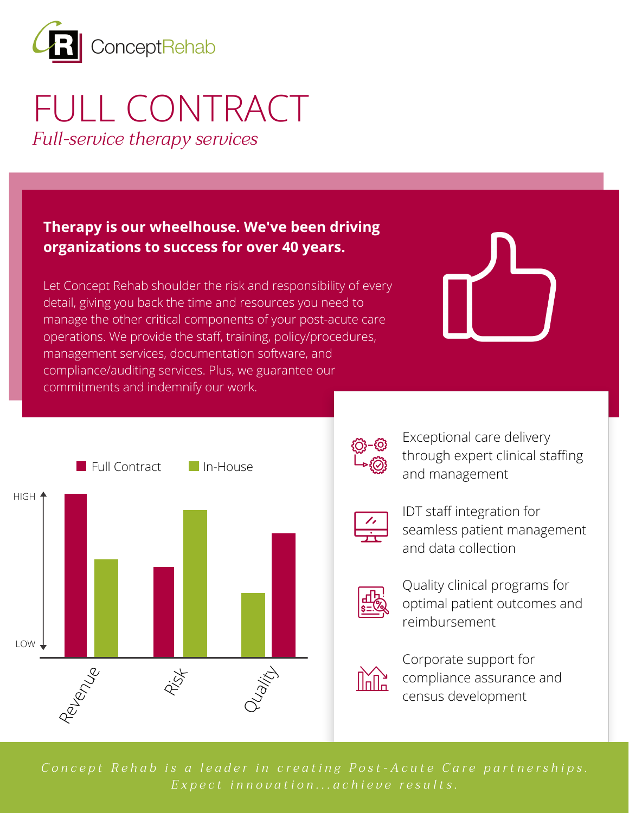

# FULL CONTRACT *Full-service therapy services*

#### **Therapy is our wheelhouse. We've been driving organizations to success for over 40 years.**

Let Concept Rehab shoulder the risk and responsibility of every detail, giving you back the time and resources you need to manage the other critical components of your post-acute care operations. We provide the staff, training, policy/procedures, management services, documentation software, and compliance/auditing services. Plus, we guarantee our commitments and indemnify our work.





Exceptional care delivery through expert clinical staffing and management



IDT staff integration for seamless patient management and data collection



Quality clinical programs for optimal patient outcomes and reimbursement



Corporate support for compliance assurance and census development